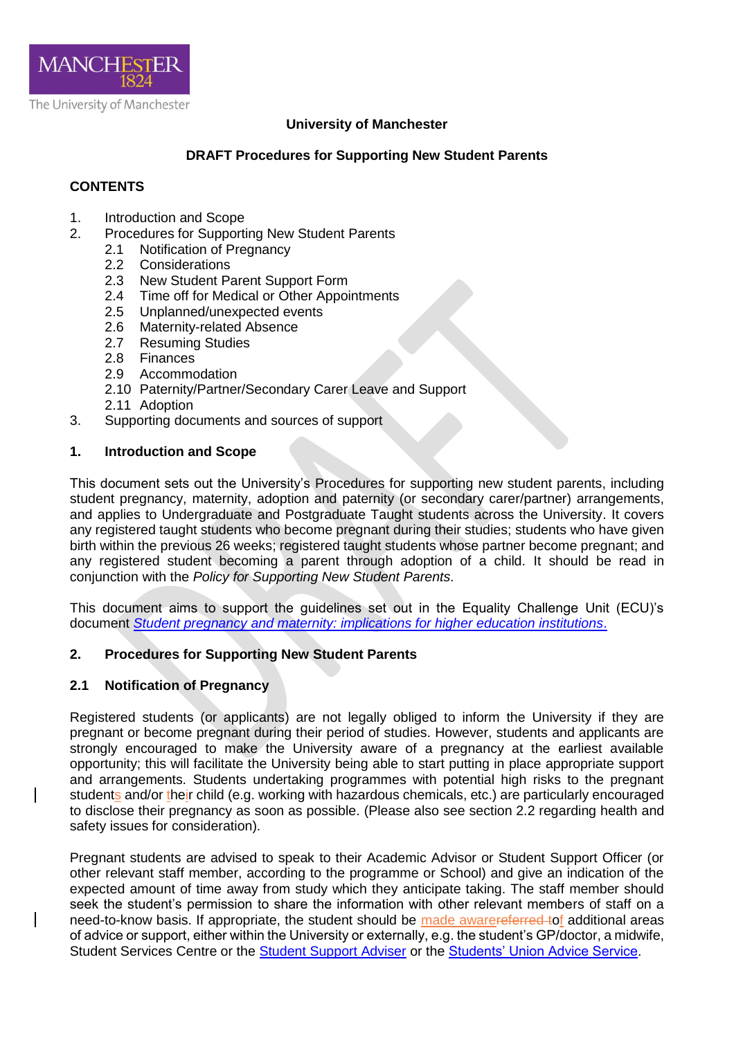

# **University of Manchester**

# **DRAFT Procedures for Supporting New Student Parents**

# **CONTENTS**

- 1. Introduction and Scope
- 2. Procedures for Supporting New Student Parents
	- 2.1 Notification of Pregnancy<br>2.2 Considerations
		- **Considerations**
		- 2.3 New Student Parent Support Form<br>2.4 Time off for Medical or Other Appoi
		- 2.4 Time off for Medical or Other Appointments<br>2.5 Unplanned/unexpected events
		- 2.5 Unplanned/unexpected events<br>2.6 Maternity-related Absence
		- Maternity-related Absence
		- 2.7 Resuming Studies
		- 2.8 Finances
		- 2.9 Accommodation
	- 2.10 Paternity/Partner/Secondary Carer Leave and Support
	- 2.11 Adoption
- 3. Supporting documents and sources of support

### **1. Introduction and Scope**

This document sets out the University's Procedures for supporting new student parents, including student pregnancy, maternity, adoption and paternity (or secondary carer/partner) arrangements, and applies to Undergraduate and Postgraduate Taught students across the University. It covers any registered taught students who become pregnant during their studies; students who have given birth within the previous 26 weeks; registered taught students whose partner become pregnant; and any registered student becoming a parent through adoption of a child. It should be read in conjunction with the *Policy for Supporting New Student Parents*.

This document aims to support the guidelines set out in the Equality Challenge Unit (ECU)'s document *[Student pregnancy and maternity: implications for higher education institutions](http://www.ecu.ac.uk/publications/student-pregnancy-and-maternity/)*.

### **2. Procedures for Supporting New Student Parents**

### **2.1 Notification of Pregnancy**

Registered students (or applicants) are not legally obliged to inform the University if they are pregnant or become pregnant during their period of studies. However, students and applicants are strongly encouraged to make the University aware of a pregnancy at the earliest available opportunity; this will facilitate the University being able to start putting in place appropriate support and arrangements. Students undertaking programmes with potential high risks to the pregnant students and/or their child (e.g. working with hazardous chemicals, etc.) are particularly encouraged to disclose their pregnancy as soon as possible. (Please also see section 2.2 regarding health and safety issues for consideration).

Pregnant students are advised to speak to their Academic Advisor or Student Support Officer (or other relevant staff member, according to the programme or School) and give an indication of the expected amount of time away from study which they anticipate taking. The staff member should seek the student's permission to share the information with other relevant members of staff on a need-to-know basis. If appropriate, the student should be made awarereferred tof additional areas of advice or support, either within the University or externally, e.g. the student's GP/doctor, a midwife, Student Services Centre or the [Student Support Adviser](mailto:StudentSupportAdviser@manchester.ac.uk) or the [Students' Union Advice Service.](http://manchesterstudentsunion.com/adviceservice)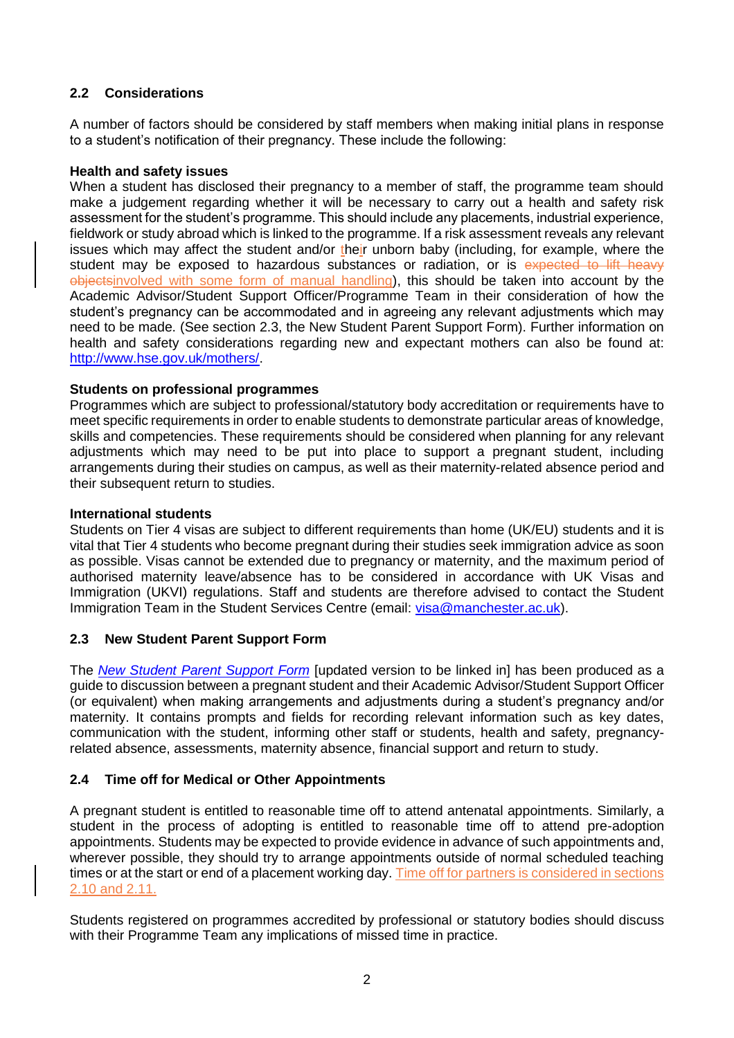# **2.2 Considerations**

A number of factors should be considered by staff members when making initial plans in response to a student's notification of their pregnancy. These include the following:

#### **Health and safety issues**

When a student has disclosed their pregnancy to a member of staff, the programme team should make a judgement regarding whether it will be necessary to carry out a health and safety risk assessment for the student's programme. This should include any placements, industrial experience, fieldwork or study abroad which is linked to the programme. If a risk assessment reveals any relevant issues which may affect the student and/or their unborn baby (including, for example, where the student may be exposed to hazardous substances or radiation, or is expected to lift heavy objectsinvolved with some form of manual handling), this should be taken into account by the Academic Advisor/Student Support Officer/Programme Team in their consideration of how the student's pregnancy can be accommodated and in agreeing any relevant adjustments which may need to be made. (See section 2.3, the New Student Parent Support Form). Further information on health and safety considerations regarding new and expectant mothers can also be found at: [http://www.hse.gov.uk/mothers/.](http://www.hse.gov.uk/mothers/)

#### **Students on professional programmes**

Programmes which are subject to professional/statutory body accreditation or requirements have to meet specific requirements in order to enable students to demonstrate particular areas of knowledge, skills and competencies. These requirements should be considered when planning for any relevant adjustments which may need to be put into place to support a pregnant student, including arrangements during their studies on campus, as well as their maternity-related absence period and their subsequent return to studies.

#### **International students**

Students on Tier 4 visas are subject to different requirements than home (UK/EU) students and it is vital that Tier 4 students who become pregnant during their studies seek immigration advice as soon as possible. Visas cannot be extended due to pregnancy or maternity, and the maximum period of authorised maternity leave/absence has to be considered in accordance with UK Visas and Immigration (UKVI) regulations. Staff and students are therefore advised to contact the Student Immigration Team in the Student Services Centre (email: [visa@manchester.ac.uk\)](mailto:visa@manchester.ac.uk).

### **2.3 New Student Parent Support Form**

The *[New Student Parent Support Form](http://documents.manchester.ac.uk/display.aspx?DocID=11687)* [updated version to be linked in] has been produced as a guide to discussion between a pregnant student and their Academic Advisor/Student Support Officer (or equivalent) when making arrangements and adjustments during a student's pregnancy and/or maternity. It contains prompts and fields for recording relevant information such as key dates, communication with the student, informing other staff or students, health and safety, pregnancyrelated absence, assessments, maternity absence, financial support and return to study.

### **2.4 Time off for Medical or Other Appointments**

A pregnant student is entitled to reasonable time off to attend antenatal appointments. Similarly, a student in the process of adopting is entitled to reasonable time off to attend pre-adoption appointments. Students may be expected to provide evidence in advance of such appointments and, wherever possible, they should try to arrange appointments outside of normal scheduled teaching times or at the start or end of a placement working day. Time off for partners is considered in sections 2.10 and 2.11.

Students registered on programmes accredited by professional or statutory bodies should discuss with their Programme Team any implications of missed time in practice.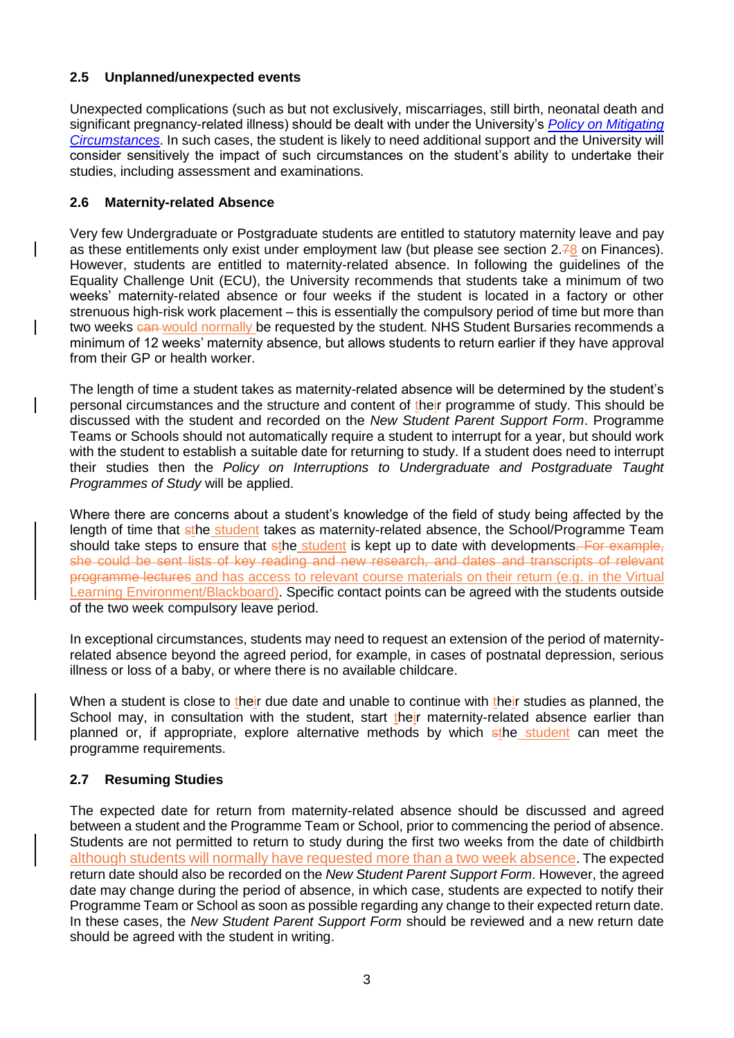# **2.5 Unplanned/unexpected events**

Unexpected complications (such as but not exclusively, miscarriages, still birth, neonatal death and significant pregnancy-related illness) should be dealt with under the University's *[Policy on Mitigating](http://documents.manchester.ac.uk/display.aspx?DocID=4271)  [Circumstances](http://documents.manchester.ac.uk/display.aspx?DocID=4271)*. In such cases, the student is likely to need additional support and the University will consider sensitively the impact of such circumstances on the student's ability to undertake their studies, including assessment and examinations.

### **2.6 Maternity-related Absence**

Very few Undergraduate or Postgraduate students are entitled to statutory maternity leave and pay as these entitlements only exist under employment law (but please see section  $2.78$  on Finances). However, students are entitled to maternity-related absence. In following the guidelines of the Equality Challenge Unit (ECU), the University recommends that students take a minimum of two weeks' maternity-related absence or four weeks if the student is located in a factory or other strenuous high-risk work placement – this is essentially the compulsory period of time but more than two weeks can would normally be requested by the student. NHS Student Bursaries recommends a minimum of 12 weeks' maternity absence, but allows students to return earlier if they have approval from their GP or health worker.

The length of time a student takes as maternity-related absence will be determined by the student's personal circumstances and the structure and content of their programme of study. This should be discussed with the student and recorded on the *New Student Parent Support Form*. Programme Teams or Schools should not automatically require a student to interrupt for a year, but should work with the student to establish a suitable date for returning to study. If a student does need to interrupt their studies then the *Policy on Interruptions to Undergraduate and Postgraduate Taught Programmes of Study* will be applied.

Where there are concerns about a student's knowledge of the field of study being affected by the length of time that sthe student takes as maternity-related absence, the School/Programme Team should take steps to ensure that sthe student is kept up to date with developments. For example, she could be sent lists of key reading and new research, and dates and transcripts of relevant programme lectures and has access to relevant course materials on their return (e.g. in the Virtual Learning Environment/Blackboard). Specific contact points can be agreed with the students outside of the two week compulsory leave period.

In exceptional circumstances, students may need to request an extension of the period of maternityrelated absence beyond the agreed period, for example, in cases of postnatal depression, serious illness or loss of a baby, or where there is no available childcare.

When a student is close to their due date and unable to continue with their studies as planned, the School may, in consultation with the student, start their maternity-related absence earlier than planned or, if appropriate, explore alternative methods by which sthe student can meet the programme requirements.

# **2.7 Resuming Studies**

The expected date for return from maternity-related absence should be discussed and agreed between a student and the Programme Team or School, prior to commencing the period of absence. Students are not permitted to return to study during the first two weeks from the date of childbirth although students will normally have requested more than a two week absence. The expected return date should also be recorded on the *New Student Parent Support Form*. However, the agreed date may change during the period of absence, in which case, students are expected to notify their Programme Team or School as soon as possible regarding any change to their expected return date. In these cases, the *New Student Parent Support Form* should be reviewed and a new return date should be agreed with the student in writing.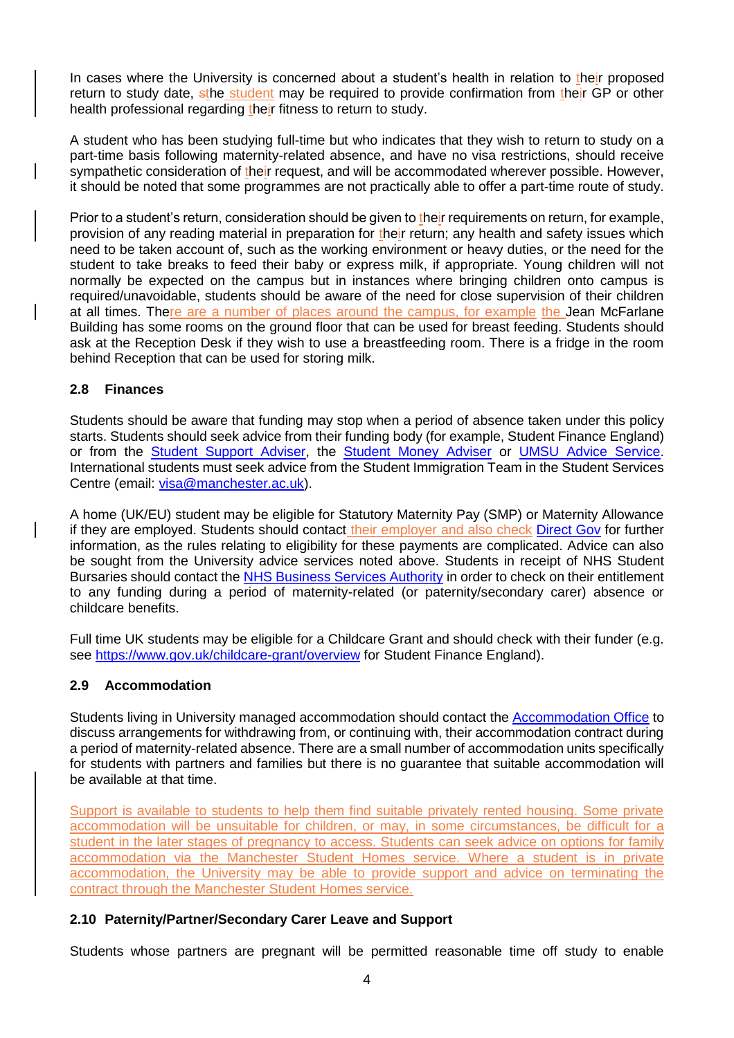In cases where the University is concerned about a student's health in relation to their proposed return to study date, sthe student may be required to provide confirmation from their GP or other health professional regarding their fitness to return to study.

A student who has been studying full-time but who indicates that they wish to return to study on a part-time basis following maternity-related absence, and have no visa restrictions, should receive sympathetic consideration of their request, and will be accommodated wherever possible. However, it should be noted that some programmes are not practically able to offer a part-time route of study.

Prior to a student's return, consideration should be given to their requirements on return, for example, provision of any reading material in preparation for their return; any health and safety issues which need to be taken account of, such as the working environment or heavy duties, or the need for the student to take breaks to feed their baby or express milk, if appropriate. Young children will not normally be expected on the campus but in instances where bringing children onto campus is required/unavoidable, students should be aware of the need for close supervision of their children at all times. There are a number of places around the campus, for example the Jean McFarlane Building has some rooms on the ground floor that can be used for breast feeding. Students should ask at the Reception Desk if they wish to use a breastfeeding room. There is a fridge in the room behind Reception that can be used for storing milk.

## **2.8 Finances**

Students should be aware that funding may stop when a period of absence taken under this policy starts. Students should seek advice from their funding body (for example, Student Finance England) or from the [Student Support Adviser,](mailto:studentsupportadviser@manchester.ac.uk) the [Student Money Adviser](mailto:studentmoneyadviser@manchester.ac.uk) or [UMSU Advice Service.](http://manchesterstudentsunion.com/adviceservice) International students must seek advice from the Student Immigration Team in the Student Services Centre (email: [visa@manchester.ac.uk\)](mailto:visa@manchester.ac.uk).

A home (UK/EU) student may be eligible for Statutory Maternity Pay (SMP) or Maternity Allowance if they are employed. Students should contact their employer and also check [Direct Gov](https://www.gov.uk/browse/childcare-parenting/pregnancy-birth) for further information, as the rules relating to eligibility for these payments are complicated. Advice can also be sought from the University advice services noted above. Students in receipt of NHS Student Bursaries should contact the [NHS Business Services Authority](http://www.nhsbsa.nhs.uk/students) in order to check on their entitlement to any funding during a period of maternity-related (or paternity/secondary carer) absence or childcare benefits.

Full time UK students may be eligible for a Childcare Grant and should check with their funder (e.g. see<https://www.gov.uk/childcare-grant/overview> for Student Finance England).

# **2.9 Accommodation**

Students living in University managed accommodation should contact the **Accommodation Office** to discuss arrangements for withdrawing from, or continuing with, their accommodation contract during a period of maternity-related absence. There are a small number of accommodation units specifically for students with partners and families but there is no guarantee that suitable accommodation will be available at that time.

Support is available to students to help them find suitable privately rented housing. Some private accommodation will be unsuitable for children, or may, in some circumstances, be difficult for a student in the later stages of pregnancy to access. Students can seek advice on options for family accommodation via the Manchester Student Homes service. Where a student is in private accommodation, the University may be able to provide support and advice on terminating the contract through the Manchester Student Homes service.

# **2.10 Paternity/Partner/Secondary Carer Leave and Support**

Students whose partners are pregnant will be permitted reasonable time off study to enable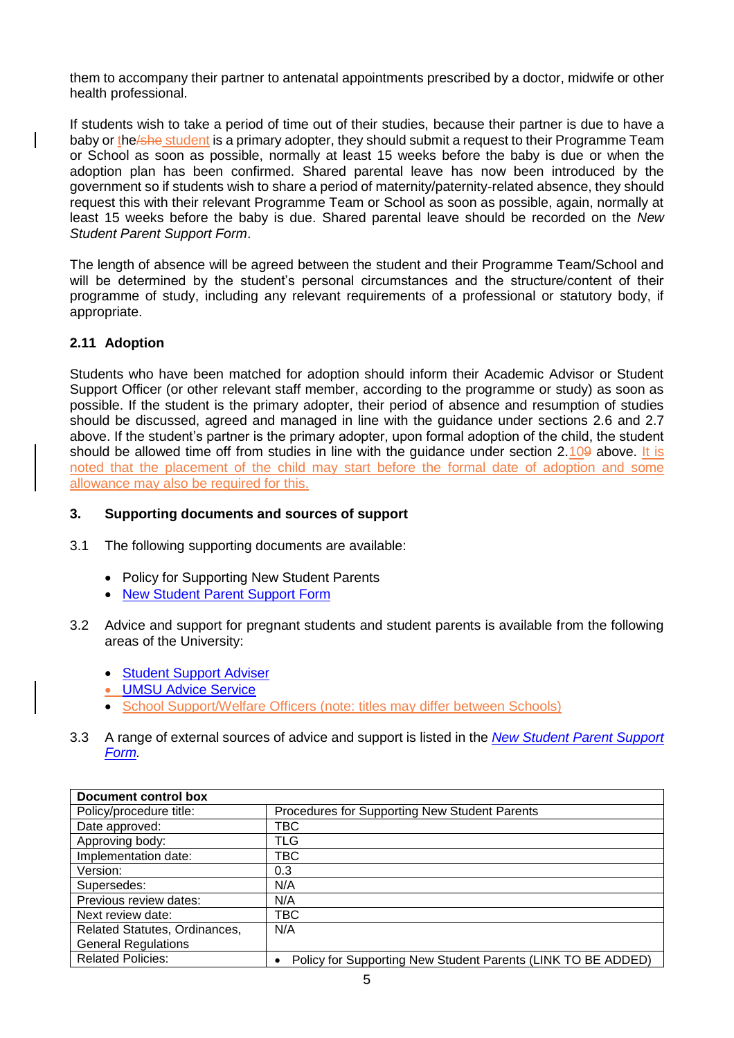them to accompany their partner to antenatal appointments prescribed by a doctor, midwife or other health professional.

If students wish to take a period of time out of their studies, because their partner is due to have a baby or the **she student is a primary adopter**, they should submit a request to their Programme Team or School as soon as possible, normally at least 15 weeks before the baby is due or when the adoption plan has been confirmed. Shared parental leave has now been introduced by the government so if students wish to share a period of maternity/paternity-related absence, they should request this with their relevant Programme Team or School as soon as possible, again, normally at least 15 weeks before the baby is due. Shared parental leave should be recorded on the *New Student Parent Support Form*.

The length of absence will be agreed between the student and their Programme Team/School and will be determined by the student's personal circumstances and the structure/content of their programme of study, including any relevant requirements of a professional or statutory body, if appropriate.

## **2.11 Adoption**

Students who have been matched for adoption should inform their Academic Advisor or Student Support Officer (or other relevant staff member, according to the programme or study) as soon as possible. If the student is the primary adopter, their period of absence and resumption of studies should be discussed, agreed and managed in line with the guidance under sections 2.6 and 2.7 above. If the student's partner is the primary adopter, upon formal adoption of the child, the student should be allowed time off from studies in line with the guidance under section 2.109 above. It is noted that the placement of the child may start before the formal date of adoption and some allowance may also be required for this.

#### **3. Supporting documents and sources of support**

- 3.1 The following supporting documents are available:
	- Policy for Supporting New Student Parents
	- [New Student Parent Support Form](http://documents.manchester.ac.uk/display.aspx?DocID=11687)
- 3.2 Advice and support for pregnant students and student parents is available from the following areas of the University:
	- [Student Support Adviser](https://uomtheatrium.wordpress.com/student-support-adviser/)
	- [UMSU Advice Service](http://manchesterstudentsunion.com/adviceservice)
	- School Support/Welfare Officers (note: titles may differ between Schools)
- 3.3 A range of external sources of advice and support is listed in the *[New Student Parent Support](http://documents.manchester.ac.uk/display.aspx?DocID=11687)  [Form.](http://documents.manchester.ac.uk/display.aspx?DocID=11687)*

| Document control box          |                                                              |
|-------------------------------|--------------------------------------------------------------|
| Policy/procedure title:       | Procedures for Supporting New Student Parents                |
| Date approved:                | TBC                                                          |
| Approving body:               | TLG                                                          |
| Implementation date:          | твс                                                          |
| Version:                      | 0.3                                                          |
| Supersedes:                   | N/A                                                          |
| Previous review dates:        | N/A                                                          |
| Next review date:             | TBC                                                          |
| Related Statutes, Ordinances, | N/A                                                          |
| <b>General Regulations</b>    |                                                              |
| <b>Related Policies:</b>      | Policy for Supporting New Student Parents (LINK TO BE ADDED) |